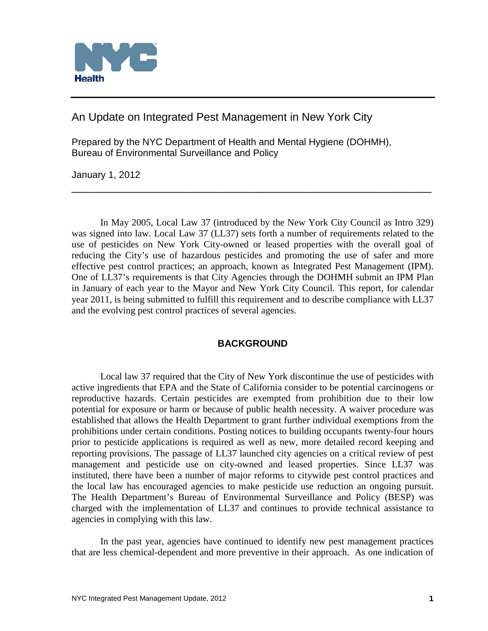

An Update on Integrated Pest Management in New York City

Prepared by the NYC Department of Health and Mental Hygiene (DOHMH), Bureau of Environmental Surveillance and Policy

January 1, 2012

In May 2005, Local Law 37 (introduced by the New York City Council as Intro 329) was signed into law. Local Law 37 (LL37) sets forth a number of requirements related to the use of pesticides on New York City-owned or leased properties with the overall goal of reducing the City's use of hazardous pesticides and promoting the use of safer and more effective pest control practices; an approach, known as Integrated Pest Management (IPM). One of LL37's requirements is that City Agencies through the DOHMH submit an IPM Plan in January of each year to the Mayor and New York City Council. This report, for calendar year 2011, is being submitted to fulfill this requirement and to describe compliance with LL37 and the evolving pest control practices of several agencies.

\_\_\_\_\_\_\_\_\_\_\_\_\_\_\_\_\_\_\_\_\_\_\_\_\_\_\_\_\_\_\_\_\_\_\_\_\_\_\_\_\_\_\_\_\_\_\_\_\_\_\_\_\_\_\_\_\_\_

# **BACKGROUND**

Local law 37 required that the City of New York discontinue the use of pesticides with active ingredients that EPA and the State of California consider to be potential carcinogens or reproductive hazards. Certain pesticides are exempted from prohibition due to their low potential for exposure or harm or because of public health necessity. A waiver procedure was established that allows the Health Department to grant further individual exemptions from the prohibitions under certain conditions. Posting notices to building occupants twenty-four hours prior to pesticide applications is required as well as new, more detailed record keeping and reporting provisions. The passage of LL37 launched city agencies on a critical review of pest management and pesticide use on city-owned and leased properties. Since LL37 was instituted, there have been a number of major reforms to citywide pest control practices and the local law has encouraged agencies to make pesticide use reduction an ongoing pursuit. The Health Department's Bureau of Environmental Surveillance and Policy (BESP) was charged with the implementation of LL37 and continues to provide technical assistance to agencies in complying with this law.

In the past year, agencies have continued to identify new pest management practices that are less chemical-dependent and more preventive in their approach. As one indication of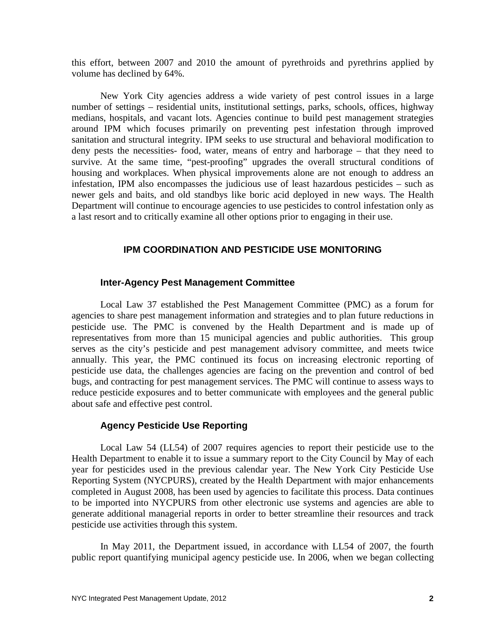this effort, between 2007 and 2010 the amount of pyrethroids and pyrethrins applied by volume has declined by 64%.

New York City agencies address a wide variety of pest control issues in a large number of settings – residential units, institutional settings, parks, schools, offices, highway medians, hospitals, and vacant lots. Agencies continue to build pest management strategies around IPM which focuses primarily on preventing pest infestation through improved sanitation and structural integrity. IPM seeks to use structural and behavioral modification to deny pests the necessities- food, water, means of entry and harborage – that they need to survive. At the same time, "pest-proofing" upgrades the overall structural conditions of housing and workplaces. When physical improvements alone are not enough to address an infestation, IPM also encompasses the judicious use of least hazardous pesticides – such as newer gels and baits, and old standbys like boric acid deployed in new ways. The Health Department will continue to encourage agencies to use pesticides to control infestation only as a last resort and to critically examine all other options prior to engaging in their use.

# **IPM COORDINATION AND PESTICIDE USE MONITORING**

### **Inter-Agency Pest Management Committee**

Local Law 37 established the Pest Management Committee (PMC) as a forum for agencies to share pest management information and strategies and to plan future reductions in pesticide use. The PMC is convened by the Health Department and is made up of representatives from more than 15 municipal agencies and public authorities. This group serves as the city's pesticide and pest management advisory committee, and meets twice annually. This year, the PMC continued its focus on increasing electronic reporting of pesticide use data, the challenges agencies are facing on the prevention and control of bed bugs, and contracting for pest management services. The PMC will continue to assess ways to reduce pesticide exposures and to better communicate with employees and the general public about safe and effective pest control.

### **Agency Pesticide Use Reporting**

Local Law 54 (LL54) of 2007 requires agencies to report their pesticide use to the Health Department to enable it to issue a summary report to the City Council by May of each year for pesticides used in the previous calendar year. The New York City Pesticide Use Reporting System (NYCPURS), created by the Health Department with major enhancements completed in August 2008, has been used by agencies to facilitate this process. Data continues to be imported into NYCPURS from other electronic use systems and agencies are able to generate additional managerial reports in order to better streamline their resources and track pesticide use activities through this system.

In May 2011, the Department issued, in accordance with LL54 of 2007, the fourth public report quantifying municipal agency pesticide use. In 2006, when we began collecting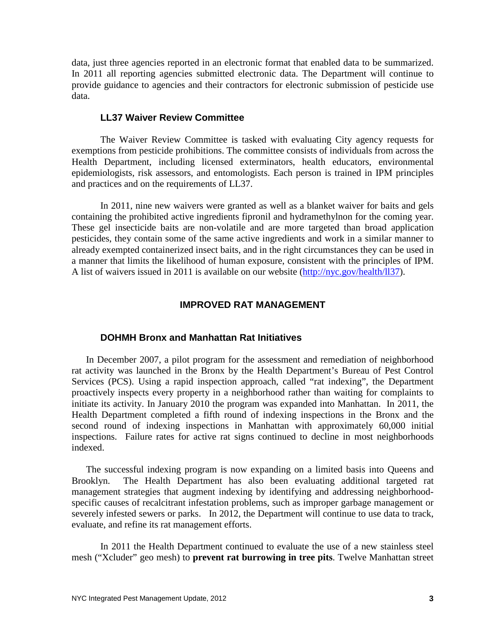data, just three agencies reported in an electronic format that enabled data to be summarized. In 2011 all reporting agencies submitted electronic data. The Department will continue to provide guidance to agencies and their contractors for electronic submission of pesticide use data.

### **LL37 Waiver Review Committee**

The Waiver Review Committee is tasked with evaluating City agency requests for exemptions from pesticide prohibitions. The committee consists of individuals from across the Health Department, including licensed exterminators, health educators, environmental epidemiologists, risk assessors, and entomologists. Each person is trained in IPM principles and practices and on the requirements of LL37.

In 2011, nine new waivers were granted as well as a blanket waiver for baits and gels containing the prohibited active ingredients fipronil and hydramethylnon for the coming year. These gel insecticide baits are non-volatile and are more targeted than broad application pesticides, they contain some of the same active ingredients and work in a similar manner to already exempted containerized insect baits, and in the right circumstances they can be used in a manner that limits the likelihood of human exposure, consistent with the principles of IPM. A list of waivers issued in 2011 is available on our website [\(http://nyc.gov/health/ll37\)](http://nyc.gov/health/ll37).

### **IMPROVED RAT MANAGEMENT**

#### **DOHMH Bronx and Manhattan Rat Initiatives**

In December 2007, a pilot program for the assessment and remediation of neighborhood rat activity was launched in the Bronx by the Health Department's Bureau of Pest Control Services (PCS). Using a rapid inspection approach, called "rat indexing", the Department proactively inspects every property in a neighborhood rather than waiting for complaints to initiate its activity. In January 2010 the program was expanded into Manhattan. In 2011, the Health Department completed a fifth round of indexing inspections in the Bronx and the second round of indexing inspections in Manhattan with approximately 60,000 initial inspections. Failure rates for active rat signs continued to decline in most neighborhoods indexed.

The successful indexing program is now expanding on a limited basis into Queens and Brooklyn. The Health Department has also been evaluating additional targeted rat management strategies that augment indexing by identifying and addressing neighborhoodspecific causes of recalcitrant infestation problems, such as improper garbage management or severely infested sewers or parks. In 2012, the Department will continue to use data to track, evaluate, and refine its rat management efforts.

In 2011 the Health Department continued to evaluate the use of a new stainless steel mesh ("Xcluder" geo mesh) to **prevent rat burrowing in tree pits**. Twelve Manhattan street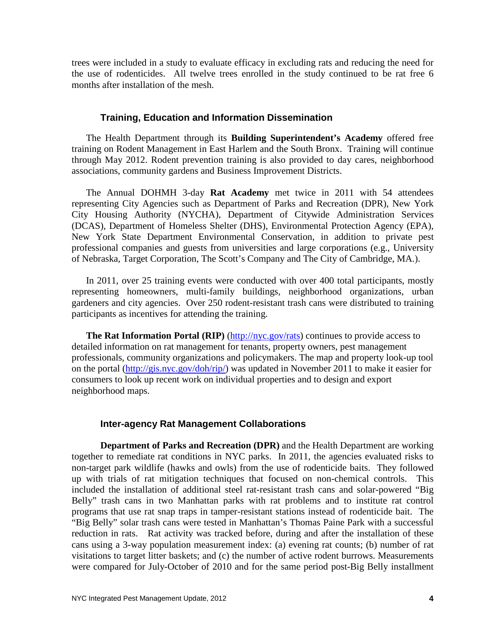trees were included in a study to evaluate efficacy in excluding rats and reducing the need for the use of rodenticides. All twelve trees enrolled in the study continued to be rat free 6 months after installation of the mesh.

### **Training, Education and Information Dissemination**

The Health Department through its **Building Superintendent's Academy** offered free training on Rodent Management in East Harlem and the South Bronx. Training will continue through May 2012. Rodent prevention training is also provided to day cares, neighborhood associations, community gardens and Business Improvement Districts.

The Annual DOHMH 3-day **Rat Academy** met twice in 2011 with 54 attendees representing City Agencies such as Department of Parks and Recreation (DPR), New York City Housing Authority (NYCHA), Department of Citywide Administration Services (DCAS), Department of Homeless Shelter (DHS), Environmental Protection Agency (EPA), New York State Department Environmental Conservation, in addition to private pest professional companies and guests from universities and large corporations (e.g., University of Nebraska, Target Corporation, The Scott's Company and The City of Cambridge, MA.).

In 2011, over 25 training events were conducted with over 400 total participants, mostly representing homeowners, multi-family buildings, neighborhood organizations, urban gardeners and city agencies. Over 250 rodent-resistant trash cans were distributed to training participants as incentives for attending the training.

**The Rat Information Portal (RIP)** [\(http://nyc.gov/rats\)](http://nyc.gov/rats) continues to provide access to detailed information on rat management for tenants, property owners, pest management professionals, community organizations and policymakers. The map and property look-up tool on the portal [\(http://gis.nyc.gov/doh/rip/\)](http://gis.nyc.gov/doh/rip/) was updated in November 2011 to make it easier for consumers to look up recent work on individual properties and to design and export neighborhood maps.

#### **Inter-agency Rat Management Collaborations**

**Department of Parks and Recreation (DPR)** and the Health Department are working together to remediate rat conditions in NYC parks. In 2011, the agencies evaluated risks to non-target park wildlife (hawks and owls) from the use of rodenticide baits. They followed up with trials of rat mitigation techniques that focused on non-chemical controls. This included the installation of additional steel rat-resistant trash cans and solar-powered "Big Belly" trash cans in two Manhattan parks with rat problems and to institute rat control programs that use rat snap traps in tamper-resistant stations instead of rodenticide bait. The "Big Belly" solar trash cans were tested in Manhattan's Thomas Paine Park with a successful reduction in rats. Rat activity was tracked before, during and after the installation of these cans using a 3-way population measurement index: (a) evening rat counts; (b) number of rat visitations to target litter baskets; and (c) the number of active rodent burrows. Measurements were compared for July-October of 2010 and for the same period post-Big Belly installment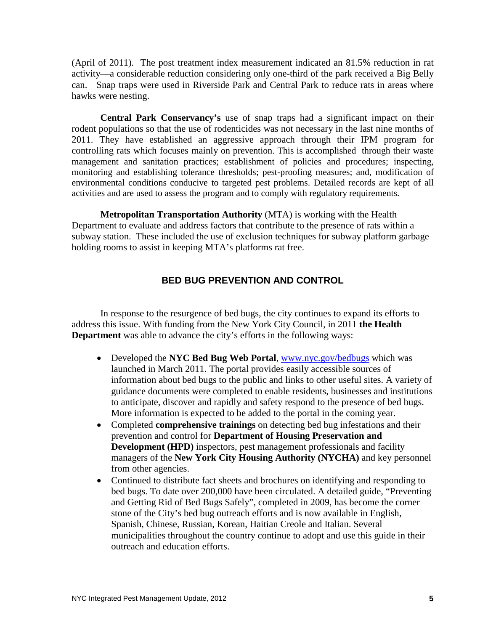(April of 2011). The post treatment index measurement indicated an 81.5% reduction in rat activity—a considerable reduction considering only one-third of the park received a Big Belly can. Snap traps were used in Riverside Park and Central Park to reduce rats in areas where hawks were nesting.

**Central Park Conservancy's** use of snap traps had a significant impact on their rodent populations so that the use of rodenticides was not necessary in the last nine months of 2011. They have established an aggressive approach through their IPM program for controlling rats which focuses mainly on prevention. This is accomplished through their waste management and sanitation practices; establishment of policies and procedures; inspecting, monitoring and establishing tolerance thresholds; pest-proofing measures; and, modification of environmental conditions conducive to targeted pest problems. Detailed records are kept of all activities and are used to assess the program and to comply with regulatory requirements.

**Metropolitan Transportation Authority** (MTA) is working with the Health Department to evaluate and address factors that contribute to the presence of rats within a subway station. These included the use of exclusion techniques for subway platform garbage holding rooms to assist in keeping MTA's platforms rat free.

# **BED BUG PREVENTION AND CONTROL**

In response to the resurgence of bed bugs, the city continues to expand its efforts to address this issue. With funding from the New York City Council, in 2011 **the Health Department** was able to advance the city's efforts in the following ways:

- Developed the **NYC Bed Bug Web Portal**, [www.nyc.gov/bedbugs](http://www.nyc.gov/bedbugs) which was launched in March 2011. The portal provides easily accessible sources of information about bed bugs to the public and links to other useful sites. A variety of guidance documents were completed to enable residents, businesses and institutions to anticipate, discover and rapidly and safety respond to the presence of bed bugs. More information is expected to be added to the portal in the coming year.
- Completed **comprehensive trainings** on detecting bed bug infestations and their prevention and control for **Department of Housing Preservation and Development (HPD)** inspectors, pest management professionals and facility managers of the **New York City Housing Authority (NYCHA)** and key personnel from other agencies.
- Continued to distribute fact sheets and brochures on identifying and responding to bed bugs. To date over 200,000 have been circulated. A detailed guide, "Preventing and Getting Rid of Bed Bugs Safely", completed in 2009, has become the corner stone of the City's bed bug outreach efforts and is now available in English, Spanish, Chinese, Russian, Korean, Haitian Creole and Italian. Several municipalities throughout the country continue to adopt and use this guide in their outreach and education efforts.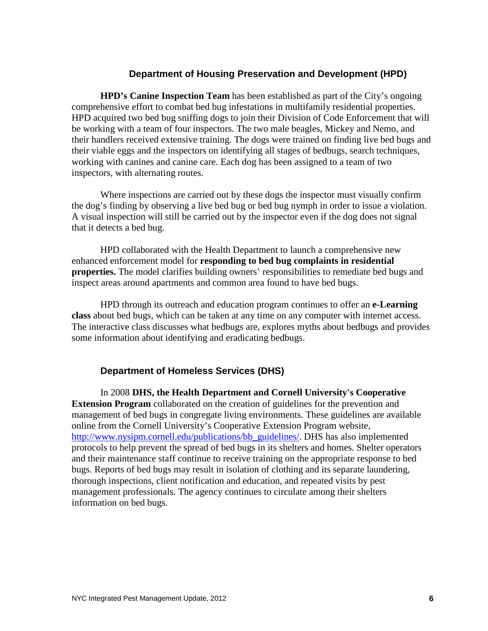### **Department of Housing Preservation and Development (HPD)**

**HPD's Canine Inspection Team** has been established as part of the City's ongoing comprehensive effort to combat bed bug infestations in multifamily residential properties. HPD acquired two bed bug sniffing dogs to join their Division of Code Enforcement that will be working with a team of four inspectors. The two male beagles, Mickey and Nemo, and their handlers received extensive training. The dogs were trained on finding live bed bugs and their viable eggs and the inspectors on identifying all stages of bedbugs, search techniques, working with canines and canine care. Each dog has been assigned to a team of two inspectors, with alternating routes.

Where inspections are carried out by these dogs the inspector must visually confirm the dog's finding by observing a live bed bug or bed bug nymph in order to issue a violation. A visual inspection will still be carried out by the inspector even if the dog does not signal that it detects a bed bug.

HPD collaborated with the Health Department to launch a comprehensive new enhanced enforcement model for **responding to bed bug complaints in residential properties.** The model clarifies building owners' responsibilities to remediate bed bugs and inspect areas around apartments and common area found to have bed bugs.

HPD through its outreach and education program continues to offer an **e-Learning class** about bed bugs, which can be taken at any time on any computer with internet access. The interactive class discusses what bedbugs are, explores myths about bedbugs and provides some information about identifying and eradicating bedbugs.

# **Department of Homeless Services (DHS)**

In 2008 **DHS, the Health Department and Cornell University's Cooperative Extension Program** collaborated on the creation of guidelines for the prevention and management of bed bugs in congregate living environments. These guidelines are available online from the Cornell University's Cooperative Extension Program website, [http://www.nysipm.cornell.edu/publications/bb\\_guidelines/.](http://www.nysipm.cornell.edu/publications/bb_guidelines/) DHS has also implemented protocols to help prevent the spread of bed bugs in its shelters and homes. Shelter operators and their maintenance staff continue to receive training on the appropriate response to bed bugs. Reports of bed bugs may result in isolation of clothing and its separate laundering, thorough inspections, client notification and education, and repeated visits by pest management professionals. The agency continues to circulate among their shelters information on bed bugs.